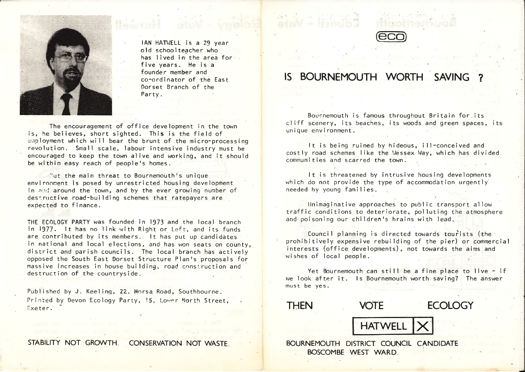

IAN HATWELL is <sup>a</sup> <sup>29</sup> year old schoolteacher who has lived in the area for five years. He is a founder member and co-ordinator of the East Dorset Branch of theParty.

The encouragement of office development in the town is, he believes, short sighted. This is the field of employment which will bear the brunt of.the micro-processingrevolution. Small scale, labour intensive industry must be encouraged to keep the town alive and working, and it shouldbe within easy reach of people's homes.

 ${\rm Out}$  the main threat to Bournemouth's unique environment is posed by unrestricted housing development in and around the town, and by the ever growing number of destructive road-building schemes that ratepayers are expected to finance.

THE ECOLOGY PARTY was founded in l973 and the local branch in I977. It has no link with Right or Left, and its funds are contributed by its members. It has put up candidates in national and local elections, and'has won seats on county, district and parish councils. The local branch has actively Opposed the South East Dorset Structure Plan's proposals for massive increases in house building, road construction anddestruction of the countryside.

Published by J. Keeling, 22, Horsa Road, Southbourne. Printed by Devon Ecology Party, 15, Lower North Street, Exeter.

STABILITY NOT GROWTH. CONSERVATION NOT WASTE.



# IS BOURNEMOUTH WORTH SAVING ?

Bournemouth is famous throughout Britain for its cliff scenery, its beaches, its woods and green spaces, its unique environment.

It is being ruined by hideous, ill-conceived and costly road schemes like the Wessex Way, which has divided communities and scarred the town.

It is threatened by intrusive housing developments which do not provide the type of accommodation urgently needed by young families.

Unimaginative approaches to public transport allow traffic conditions to deteriorate, polluting the atmosphere and poisoning our children's brains with lead.

Council planning is directed towards tourists (the prohibitively expensive rebuilding of the pier) or commercial interests (office developments), not towards the aims and wishes of local people.

Yet Bournemouth can still be <sup>a</sup> fine place to live - if we look after it. Is Bournemouth worth saving? The answer must be yes.

THEN

N VOTE ECOLOGY

**HATWEL**  $|X|$ 

BOURNEMOUTH DISTRICT COUNCIL CANDIDATE BOSCOMBE WEST WARD